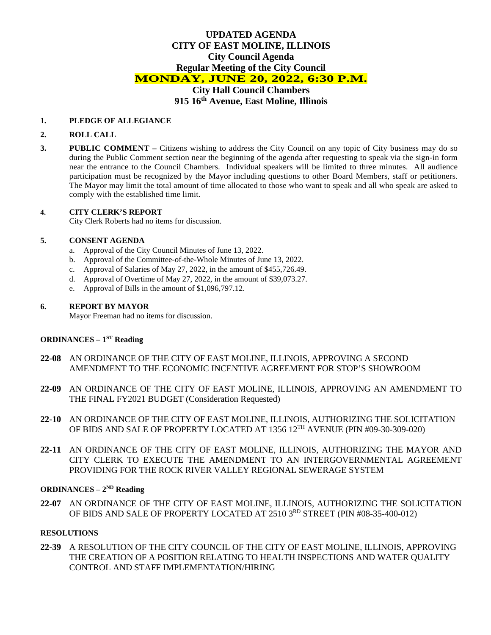# **UPDATED AGENDA CITY OF EAST MOLINE, ILLINOIS City Council Agenda Regular Meeting of the City Council MONDAY, JUNE 20, 2022, 6:30 P.M. City Hall Council Chambers**

**915 16th Avenue, East Moline, Illinois**

### **1. PLEDGE OF ALLEGIANCE**

### **2. ROLL CALL**

**3. PUBLIC COMMENT –** Citizens wishing to address the City Council on any topic of City business may do so during the Public Comment section near the beginning of the agenda after requesting to speak via the sign-in form near the entrance to the Council Chambers. Individual speakers will be limited to three minutes. All audience participation must be recognized by the Mayor including questions to other Board Members, staff or petitioners. The Mayor may limit the total amount of time allocated to those who want to speak and all who speak are asked to comply with the established time limit.

#### **4. CITY CLERK'S REPORT**

City Clerk Roberts had no items for discussion.

### **5. CONSENT AGENDA**

- a. Approval of the City Council Minutes of June 13, 2022.
- b. Approval of the Committee-of-the-Whole Minutes of June 13, 2022.
- c. Approval of Salaries of May 27, 2022, in the amount of \$455,726.49.
- d. Approval of Overtime of May 27, 2022, in the amount of \$39,073.27.
- e. Approval of Bills in the amount of \$1,096,797.12.

#### **6. REPORT BY MAYOR**

Mayor Freeman had no items for discussion.

# **ORDINANCES – 1ST Reading**

- **22-08** AN ORDINANCE OF THE CITY OF EAST MOLINE, ILLINOIS, APPROVING A SECOND AMENDMENT TO THE ECONOMIC INCENTIVE AGREEMENT FOR STOP'S SHOWROOM
- **22-09** AN ORDINANCE OF THE CITY OF EAST MOLINE, ILLINOIS, APPROVING AN AMENDMENT TO THE FINAL FY2021 BUDGET (Consideration Requested)
- **22-10** AN ORDINANCE OF THE CITY OF EAST MOLINE, ILLINOIS, AUTHORIZING THE SOLICITATION OF BIDS AND SALE OF PROPERTY LOCATED AT 1356 12TH AVENUE (PIN #09-30-309-020)
- **22-11** AN ORDINANCE OF THE CITY OF EAST MOLINE, ILLINOIS, AUTHORIZING THE MAYOR AND CITY CLERK TO EXECUTE THE AMENDMENT TO AN INTERGOVERNMENTAL AGREEMENT PROVIDING FOR THE ROCK RIVER VALLEY REGIONAL SEWERAGE SYSTEM

### **ORDINANCES – 2ND Reading**

**22-07** AN ORDINANCE OF THE CITY OF EAST MOLINE, ILLINOIS, AUTHORIZING THE SOLICITATION OF BIDS AND SALE OF PROPERTY LOCATED AT 2510 3RD STREET (PIN #08-35-400-012)

### **RESOLUTIONS**

**22-39** A RESOLUTION OF THE CITY COUNCIL OF THE CITY OF EAST MOLINE, ILLINOIS, APPROVING THE CREATION OF A POSITION RELATING TO HEALTH INSPECTIONS AND WATER QUALITY CONTROL AND STAFF IMPLEMENTATION/HIRING